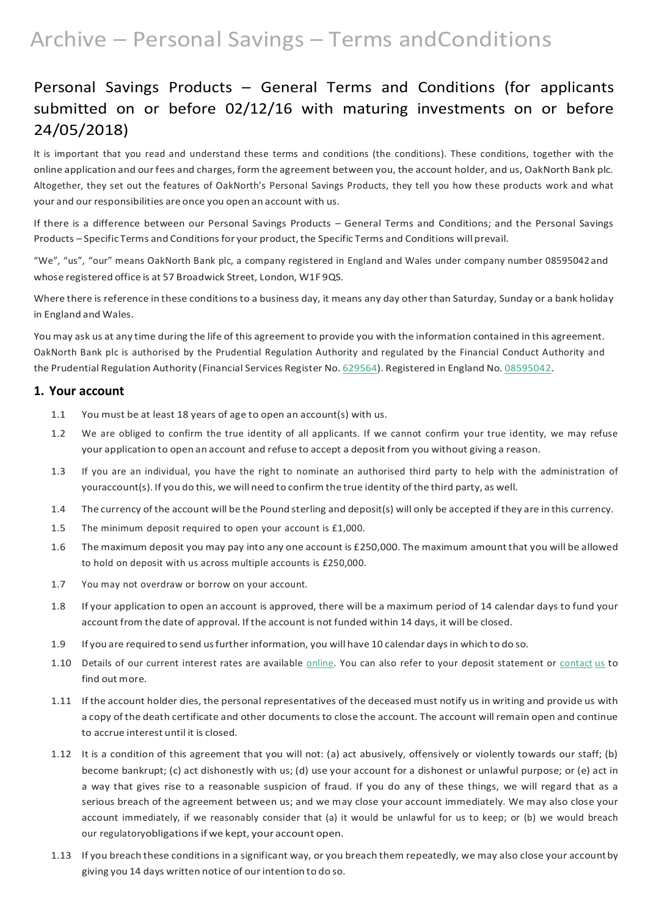# Archive – Personal Savings – Terms andConditions

## Personal Savings Products – General Terms and Conditions (for applicants submitted on or before 02/12/16 with maturing investments on or before 24/05/2018)

If there is a difference between our Personal Savings Products – General Terms and Conditions; and the Personal Savings Products – Specific Terms and Conditions for your product, the Specific Terms and Conditions will prevail.

It is important that you read and understand these terms and conditions (the conditions). These conditions, together with the online application and ourfees and charges, form the agreement between you, the account holder, and us, OakNorth Bank plc. Altogether, they set out the features of OakNorth's Personal Savings Products, they tell you how these products work and what your and our responsibilities are once you open an account with us.

Where there is reference in these conditions to a business day, it means any day other than Saturday, Sunday or a bank holiday in England and Wales.

"We", "us", "our" means OakNorth Bank plc, a company registered in England and Wales under company number 08595042 and whose registered office is at 57 Broadwick Street, London, W1F 9QS.

You may ask us at any time during the life of this agreement to provide you with the information contained in this agreement. OakNorth Bank plc is authorised by the Prudential Regulation Authority and regulated by the Financial Conduct Authority and the Prudential Regulation Authority (Financial Services Register No. [629564\)](https://register.fca.org.uk/ShPo_FirmDetailsPage?id=001b000000aQtn8AAC). Registered in England No. [08595042.](https://beta.companieshouse.gov.uk/company/08595042)

### **1. Your account**

- 1.1 You must be at least 18 years of age to open an account(s) with us.
- 1.2 We are obliged to confirm the true identity of all applicants. If we cannot confirm your true identity, we may refuse your application to open an account and refuse to accept a deposit from you without giving a reason.
- 1.3 If you are an individual, you have the right to nominate an authorised third party to help with the administration of youraccount(s). If you do this, we will need to confirm the true identity of the third party, as well.
- 1.4 The currency of the account will be the Pound sterling and deposit(s) will only be accepted if they are in this currency.
- 1.5 The minimum deposit required to open your account is £1,000.
- 1.6 The maximum deposit you may pay into any one account is £250,000. The maximum amount that you will be allowed to hold on deposit with us across multiple accounts is £250,000.
- 1.7 You may not overdraw or borrow on your account.
- 1.8 If your application to open an account is approved, there will be a maximum period of 14 calendar days to fund your account from the date of approval. If the account is not funded within 14 days, it will be closed.
- 1.9 If you are required to send usfurther information, you will have 10 calendar days in which to do so.
- 1.10 Details of our current interest rates are available online. You can also refer to your deposit [statement](https://www.oaknorth.co.uk/resources/get-in-touch/) or contact us to find out [more.](https://www.oaknorth.co.uk/resources/get-in-touch/)
- 1.11 If the account holder dies, the personal representatives of the deceased must notify us in writing and provide us with a copy of the death certificate and other documents to close the account. The account will remain open and continue to accrue interest until it is closed.
- 1.12 It is a condition of this agreement that you will not: (a) act abusively, offensively or violently towards our staff; (b) become bankrupt; (c) act dishonestly with us; (d) use your account for a dishonest or unlawful purpose; or (e) act in a way that gives rise to a reasonable suspicion of fraud. If you do any of these things, we will regard that as a serious breach of the agreement between us; and we may close your account immediately. We may also close your account immediately, if we reasonably consider that (a) it would be unlawful for us to keep; or (b) we would breach our regulatoryobligations if we kept, your account open.
- 1.13 If you breach these conditions in a significant way, or you breach them repeatedly, we may also close your accountby giving you 14 days written notice of ourintention to do so.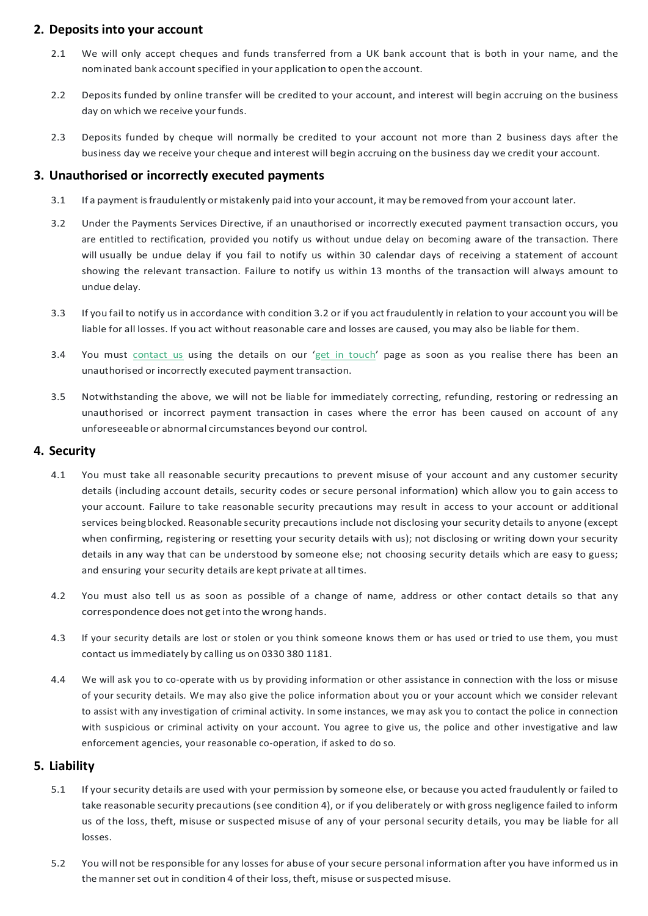### **2. Deposits into your account**

- 2.1 We will only accept cheques and funds transferred from a UK bank account that is both in your name, and the nominated bank account specified in your application to open the account.
- 2.2 Deposits funded by online transfer will be credited to your account, and interest will begin accruing on the business day on which we receive your funds.
- 2.3 Deposits funded by cheque will normally be credited to your account not more than 2 business days after the business day we receive your cheque and interest will begin accruing on the business day we credit your account.

### **3. Unauthorised or incorrectly executed payments**

- 3.1 If a payment isfraudulently or mistakenly paid into your account, it may be removed from your account later.
- 3.2 Under the Payments Services Directive, if an unauthorised or incorrectly executed payment transaction occurs, you are entitled to rectification, provided you notify us without undue delay on becoming aware of the transaction. There will usually be undue delay if you fail to notify us within 30 calendar days of receiving a statement of account showing the relevant transaction. Failure to notify us within 13 months of the transaction will always amount to undue delay.
- 3.3 If you fail to notify us in accordance with condition 3.2 or if you act fraudulently in relation to your account you will be liable for all losses. If you act without reasonable care and losses are caused, you may also be liable for them.
- 3.4 You must [contact](https://www.oaknorth.co.uk/resources/get-in-touch/) us using the details on our 'get in [touch'](https://www.oaknorth.co.uk/resources/get-in-touch/) page as soon as you realise there has been an unauthorised or incorrectly executed payment transaction.
- 3.5 Notwithstanding the above, we will not be liable for immediately correcting, refunding, restoring or redressing an unauthorised or incorrect payment transaction in cases where the error has been caused on account of any unforeseeable or abnormal circumstances beyond our control.

- 5.1 If your security details are used with your permission by someone else, or because you acted fraudulently or failed to take reasonable security precautions (see condition 4), or if you deliberately or with gross negligence failed to inform us of the loss, theft, misuse or suspected misuse of any of your personal security details, you may be liable for all losses.
- 5.2 You will not be responsible for any losses for abuse of yoursecure personal information after you have informed us in the manner set out in condition 4 of their loss, theft, misuse or suspected misuse.

### **4. Security**

- 4.1 You must take all reasonable security precautions to prevent misuse of your account and any customer security details (including account details, security codes or secure personal information) which allow you to gain access to your account. Failure to take reasonable security precautions may result in access to your account or additional services beingblocked. Reasonable security precautions include not disclosing your security details to anyone (except when confirming, registering or resetting your security details with us); not disclosing or writing down your security details in any way that can be understood by someone else; not choosing security details which are easy to guess; and ensuring your security details are kept private at alltimes.
- 4.2 You must also tell us as soon as possible of a change of name, address or other contact details so that any correspondence does not getinto the wrong hands.
- 4.3 If your security details are lost or stolen or you think someone knows them or has used or tried to use them, you must contact us immediately by calling us on 0330 380 1181.
- 4.4 We will ask you to co-operate with us by providing information or other assistance in connection with the loss or misuse

of your security details. We may also give the police information about you or your account which we consider relevant to assist with any investigation of criminal activity. In some instances, we may ask you to contact the police in connection with suspicious or criminal activity on your account. You agree to give us, the police and other investigative and law enforcement agencies, your reasonable co-operation, if asked to do so.

### **5. Liability**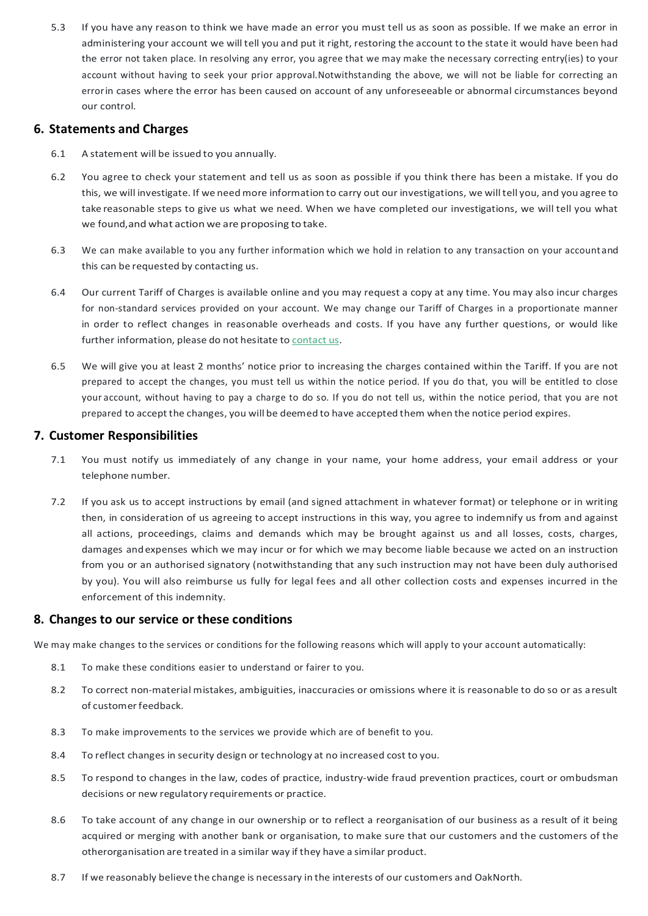5.3 If you have any reason to think we have made an error you must tell us as soon as possible. If we make an error in administering your account we will tell you and put it right, restoring the account to the state it would have been had the error not taken place. In resolving any error, you agree that we may make the necessary correcting entry(ies) to your account without having to seek your prior approval.Notwithstanding the above, we will not be liable for correcting an errorin cases where the error has been caused on account of any unforeseeable or abnormal circumstances beyond our control.

### **6. Statements and Charges**

- 6.1 A statement will be issued to you annually.
- 6.2 You agree to check your statement and tell us as soon as possible if you think there has been a mistake. If you do this, we will investigate. If we need more information to carry out our investigations, we willtell you, and you agree to take reasonable steps to give us what we need. When we have completed our investigations, we will tell you what we found,and what action we are proposing to take.
- 6.3 We can make available to you any further information which we hold in relation to any transaction on your accountand this can be requested by contacting us.
- 6.4 Our current Tariff of Charges is available online and you may request a copy at any time. You may also incur charges for non-standard services provided on your account. We may change our Tariff of Charges in a proportionate manner in order to reflect changes in reasonable overheads and costs. If you have any further questions, or would like further information, please do not hesitate to [contact](https://www.oaknorth.co.uk/resources/get-in-touch/) us.
- 6.5 We will give you at least 2 months' notice prior to increasing the charges contained within the Tariff. If you are not prepared to accept the changes, you must tell us within the notice period. If you do that, you will be entitled to close your account, without having to pay a charge to do so. If you do not tell us, within the notice period, that you are not prepared to accept the changes, you will be deemed to have accepted them when the notice period expires.

- 8.1 To make these conditions easier to understand or fairer to you.
- 8.2 To correct non-material mistakes, ambiguities, inaccuracies or omissions where it is reasonable to do so or as aresult
- of customer feedback.
- 8.3 To make improvements to the services we provide which are of benefit to you.
- 8.4 To reflect changes in security design or technology at no increased cost to you.
- 8.5 To respond to changes in the law, codes of practice, industry-wide fraud prevention practices, court or ombudsman decisions or new regulatory requirements or practice.
- 8.6 To take account of any change in our ownership or to reflect a reorganisation of our business as a result of it being acquired or merging with another bank or organisation, to make sure that our customers and the customers of the otherorganisation are treated in a similar way if they have a similar product.
- 8.7 If we reasonably believe the change is necessary in the interests of our customers and OakNorth.

### **7. Customer Responsibilities**

- 7.1 You must notify us immediately of any change in your name, your home address, your email address or your telephone number.
- 7.2 If you ask us to accept instructions by email (and signed attachment in whatever format) or telephone or in writing then, in consideration of us agreeing to accept instructions in this way, you agree to indemnify us from and against all actions, proceedings, claims and demands which may be brought against us and all losses, costs, charges, damages and expenses which we may incur or for which we may become liable because we acted on an instruction from you or an authorised signatory (notwithstanding that any such instruction may not have been duly authorised by you). You will also reimburse us fully for legal fees and all other collection costs and expenses incurred in the enforcement of this indemnity.

### **8. Changes to our service or these conditions**

We may make changes to the services or conditions for the following reasons which will apply to your account automatically: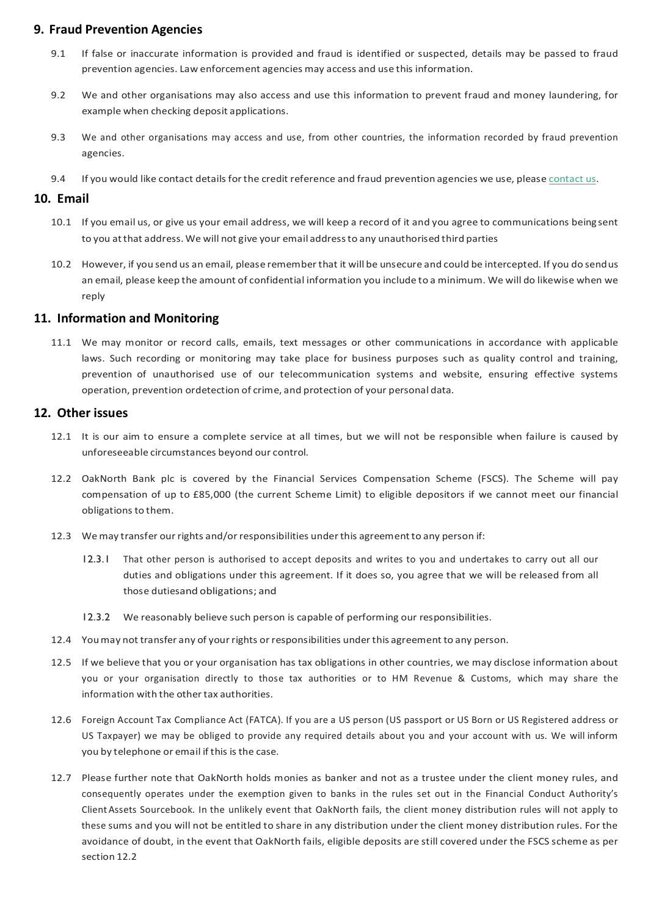### **9. Fraud Prevention Agencies**

- 9.1 If false or inaccurate information is provided and fraud is identified or suspected, details may be passed to fraud prevention agencies. Law enforcement agencies may access and use this information.
- 9.2 We and other organisations may also access and use this information to prevent fraud and money laundering, for example when checking deposit applications.
- 9.3 We and other organisations may access and use, from other countries, the information recorded by fraud prevention agencies.
- 9.4 If you would like [contact](https://www.oaknorth.co.uk/resources/get-in-touch/) details for the credit reference and fraud prevention agencies we use, please contact us.

### **10. Email**

- 10.1 If you email us, or give us your email address, we will keep a record of it and you agree to communications beingsent to you atthat address. We will not give your email addressto any unauthorised third parties
- 10.2 However, if you send us an email, please rememberthat it will be unsecure and could be intercepted. If you do sendus an email, please keep the amount of confidential information you include to a minimum. We will do likewise when we reply

### **11. Information and Monitoring**

11.1 We may monitor or record calls, emails, text messages or other communications in accordance with applicable laws. Such recording or monitoring may take place for business purposes such as quality control and training, prevention of unauthorised use of our telecommunication systems and website, ensuring effective systems operation, prevention ordetection of crime, and protection of your personal data.

### **12. Other issues**

- 12.1 It is our aim to ensure a complete service at all times, but we will not be responsible when failure is caused by unforeseeable circumstances beyond our control.
- 12.2 OakNorth Bank plc is covered by the Financial Services Compensation Scheme (FSCS). The Scheme will pay compensation of up to £85,000 (the current Scheme Limit) to eligible depositors if we cannot meet our financial obligations to them.
- 12.3 Wemay transfer ourrights and/orresponsibilities underthis agreementto any person if:
	- 12.3.1 That other person is authorised to accept deposits and writes to you and undertakes to carry out all our duties and obligations under this agreement. If it does so, you agree that we will be released from all those dutiesand obligations; and
	- 12.3.2 We reasonably believe such person is capable of performing our responsibilities.
- 12.4 You may not transfer any of your rights or responsibilities under this agreement to any person.
- 12.5 If we believe that you or your organisation has tax obligations in other countries, we may disclose information about you or your organisation directly to those tax authorities or to HM Revenue & Customs, which may share the

#### information with the othertax authorities.

- 12.6 Foreign Account Tax Compliance Act (FATCA). If you are a US person (US passport or US Born or US Registered address or US Taxpayer) we may be obliged to provide any required details about you and your account with us. We will inform you by telephone or email if this is the case.
- 12.7 Please further note that OakNorth holds monies as banker and not as a trustee under the client money rules, and consequently operates under the exemption given to banks in the rules set out in the Financial Conduct Authority's Client Assets Sourcebook. In the unlikely event that OakNorth fails, the client money distribution rules will not apply to these sums and you will not be entitled to share in any distribution under the client money distribution rules. For the avoidance of doubt, in the event that OakNorth fails, eligible deposits are still covered under the FSCS scheme as per section 12.2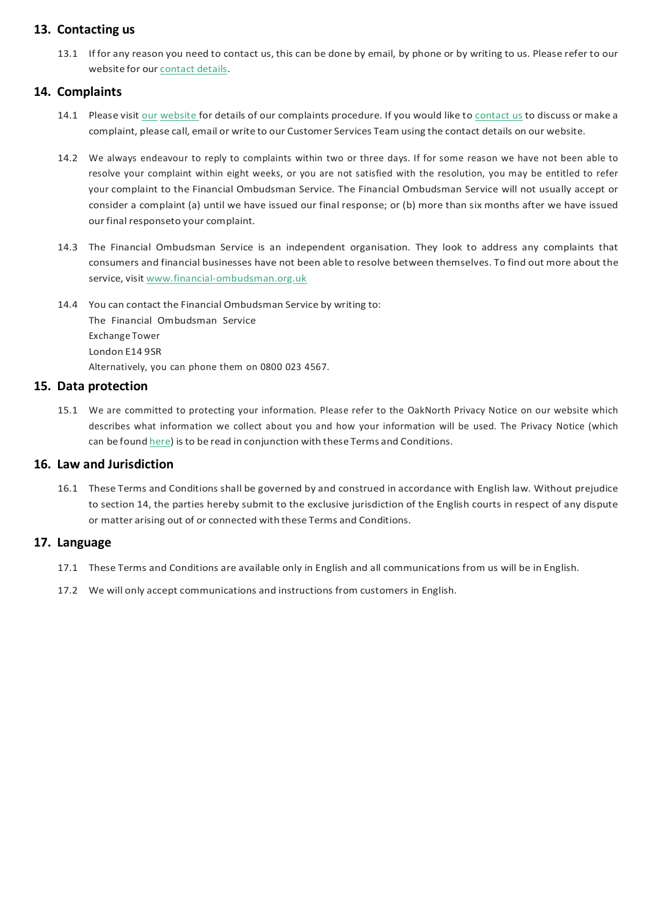### **13. Contacting us**

13.1 If for any reason you need to contact us, this can be done by email, by phone or by writing to us. Please refer to our website for our [contact](https://www.oaknorth.co.uk/resources/get-in-touch/) details.

### **14. Complaints**

- 14.1 Please visit [our](https://www.oaknorth.com/terms-and-conditions/complaints/) [website](https://www.oaknorth.co.uk/complaints/) for details of our complaints procedure. If you would like to [contact](https://www.oaknorth.co.uk/resources/get-in-touch/) us to discuss or make a complaint, please call, email or write to our Customer Services Team using the contact details on our website.
- 14.2 We always endeavour to reply to complaints within two or three days. If for some reason we have not been able to resolve your complaint within eight weeks, or you are not satisfied with the resolution, you may be entitled to refer your complaint to the Financial Ombudsman Service. The Financial Ombudsman Service will not usually accept or consider a complaint (a) until we have issued our final response; or (b) more than six months after we have issued our final responseto your complaint.
- 14.3 The Financial Ombudsman Service is an independent organisation. They look to address any complaints that consumers and financial businesses have not been able to resolve between themselves. To find out more about the service, visit [www.financial-ombudsman.org.uk](http://www.financial-ombudsman.org.uk/)
- 14.4 You can contact the Financial Ombudsman Service by writing to: The Financial Ombudsman Service Exchange Tower London E14 9SR Alternatively, you can phone them on 0800 023 4567.

### **15. Data protection**

15.1 We are committed to protecting your information. Please refer to the OakNorth Privacy Notice on our website which describes what information we collect about you and how your information will be used. The Privacy Notice (which can be found [here\)](https://www.oaknorth.co.uk/privacy-notice/) is to be read in conjunction with these Terms and Conditions.

### **16. Law and Jurisdiction**

16.1 These Terms and Conditions shall be governed by and construed in accordance with English law. Without prejudice to section 14, the parties hereby submit to the exclusive jurisdiction of the English courts in respect of any dispute or matter arising out of or connected with these Terms and Conditions.

### **17. Language**

- 17.1 These Terms and Conditions are available only in English and all communications from us will be in English.
- 17.2 We will only accept communications and instructions from customers in English.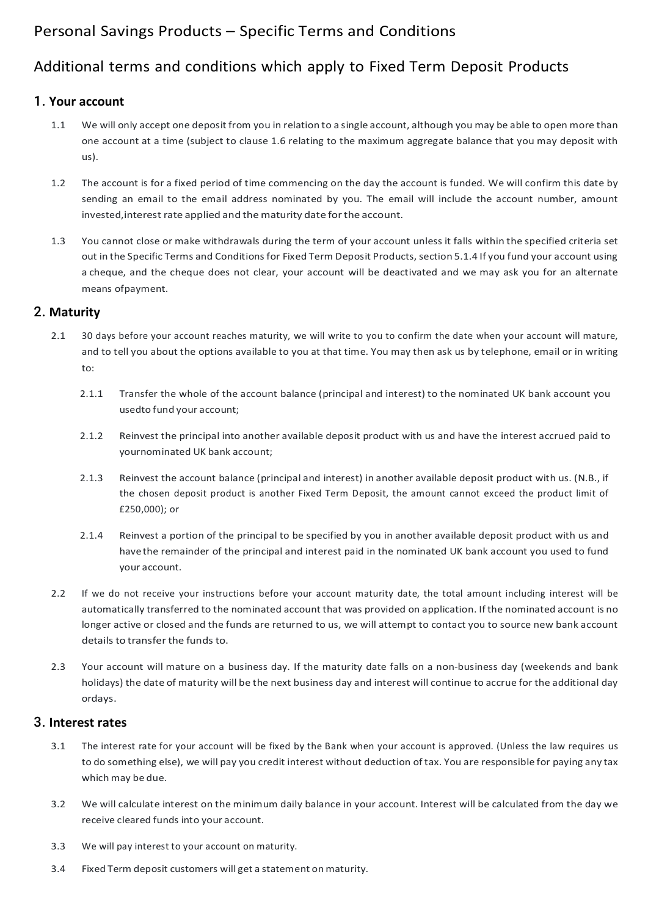## Personal Savings Products – Specific Terms and Conditions

### Additional terms and conditions which apply to Fixed Term Deposit Products

### 1. **Your account**

- 1.1 We will only accept one deposit from you in relation to a single account, although you may be able to open more than one account at a time (subject to clause 1.6 relating to the maximum aggregate balance that you may deposit with us).
- 1.2 The account is for a fixed period of time commencing on the day the account is funded. We will confirm this date by sending an email to the email address nominated by you. The email will include the account number, amount invested,interest rate applied and thematurity date forthe account.
- 1.3 You cannot close or make withdrawals during the term of your account unless it falls within the specified criteria set out in the Specific Terms and Conditions for Fixed Term Deposit Products, section 5.1.4 If you fund your account using a cheque, and the cheque does not clear, your account will be deactivated and we may ask you for an alternate means ofpayment.

### 2. **Maturity**

- 2.1 30 days before your account reaches maturity, we will write to you to confirm the date when your account will mature, and to tell you about the options available to you at that time. You may then ask us by telephone, email or in writing to:
	- 2.1.1 Transfer the whole of the account balance (principal and interest) to the nominated UK bank account you usedto fund your account;
	- 2.1.2 Reinvest the principal into another available deposit product with us and have the interest accrued paid to yournominated UK bank account;
	- 2.1.3 Reinvest the account balance (principal and interest) in another available deposit product with us. (N.B., if the chosen deposit product is another Fixed Term Deposit, the amount cannot exceed the product limit of £250,000); or
	- 2.1.4 Reinvest a portion of the principal to be specified by you in another available deposit product with us and havethe remainder of the principal and interest paid in the nominated UK bank account you used to fund your account.
- 2.2 If we do not receive your instructions before your account maturity date, the total amount including interest will be automatically transferred to the nominated account that was provided on application. If the nominated account is no longer active or closed and the funds are returned to us, we will attempt to contact you to source new bank account details to transfer the funds to.
- 2.3 Your account will mature on a business day. If the maturity date falls on a non-business day (weekends and bank holidays) the date of maturity will be the next business day and interest will continue to accrue for the additional day

ordays.

### 3. **Interest rates**

- 3.1 The interest rate for your account will be fixed by the Bank when your account is approved. (Unless the law requires us to do something else), we will pay you credit interest without deduction of tax. You are responsible for paying any tax which may be due.
- 3.2 We will calculate interest on the minimum daily balance in your account. Interest will be calculated from the day we receive cleared funds into your account.
- 3.3 We will pay interest to your account on maturity.
- 3.4 Fixed Term deposit customers will get a statement on maturity.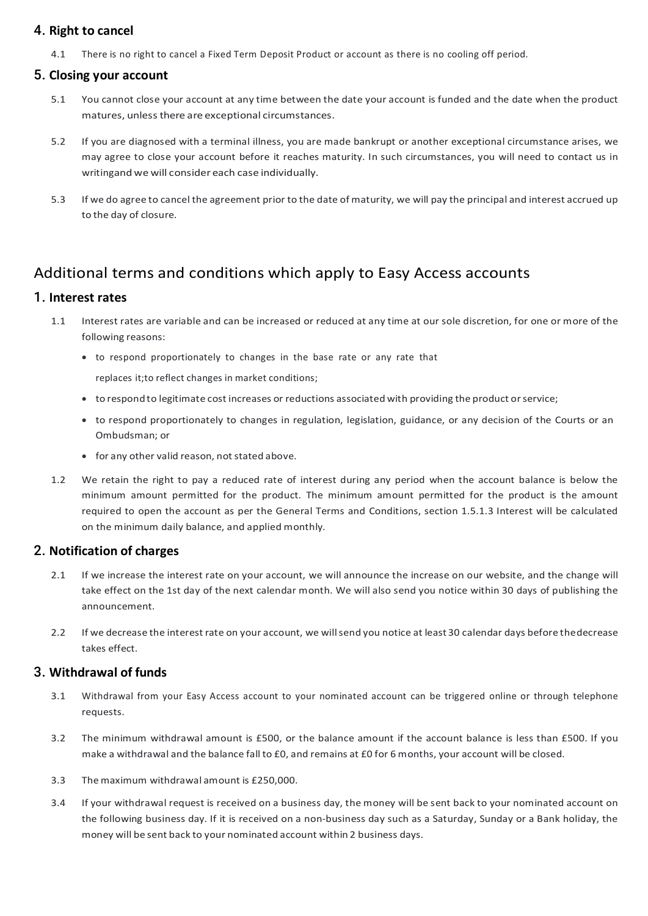### 4. **Right to cancel**

4.1 There is no right to cancel a Fixed Term Deposit Product or account as there is no cooling off period.

### 5. **Closing your account**

- 5.1 You cannot close your account at any time between the date your account is funded and the date when the product matures, unless there are exceptional circumstances.
- 5.2 If you are diagnosed with a terminal illness, you are made bankrupt or another exceptional circumstance arises, we may agree to close your account before it reaches maturity. In such circumstances, you will need to contact us in writingand we will consider each case individually.
- 5.3 If we do agree to cancel the agreement prior to the date of maturity, we will pay the principal and interest accrued up to the day of closure.

## Additional terms and conditions which apply to Easy Access accounts

### 1. **Interest rates**

- to respond to legitimate cost increases or reductions associated with providing the product or service;
- to respond proportionately to changes in regulation, legislation, guidance, or any decision of the Courts or an Ombudsman; or
- for any other valid reason, not stated above.
- 1.2 We retain the right to pay a reduced rate of interest during any period when the account balance is below the minimum amount permitted for the product. The minimum amount permitted for the product is the amount required to open the account as per the General Terms and Conditions, section 1.5.1.3 Interest will be calculated on the minimum daily balance, and applied monthly.
- 1.1 Interest rates are variable and can be increased or reduced at any time at our sole discretion, for one or more of the following reasons:
	- to respond proportionately to changes in the base rate or any rate that

replaces it;to reflect changes in market conditions;

- 2.1 If we increase the interest rate on your account, we will announce the increase on our website, and the change will take effect on the 1st day of the next calendar month. We will also send you notice within 30 days of publishing the announcement.
- 2.2 If we decrease the interest rate on your account, we willsend you notice at least 30 calendar days before thedecrease takes effect.

### 2. **Notification of charges**

### 3. **Withdrawal of funds**

- 3.1 Withdrawal from your Easy Access account to your nominated account can be triggered online or through telephone requests.
- 3.2 The minimum withdrawal amount is £500, or the balance amount if the account balance is less than £500. If you make a withdrawal and the balance fall to £0, and remains at £0 for 6 months, your account will be closed.
- 3.3 Themaximum withdrawal amount is £250,000.
- 3.4 If your withdrawal request is received on a business day, the money will be sent back to your nominated account on the following business day. If it is received on a non-business day such as a Saturday, Sunday or a Bank holiday, the money will be sent back to your nominated account within 2 business days.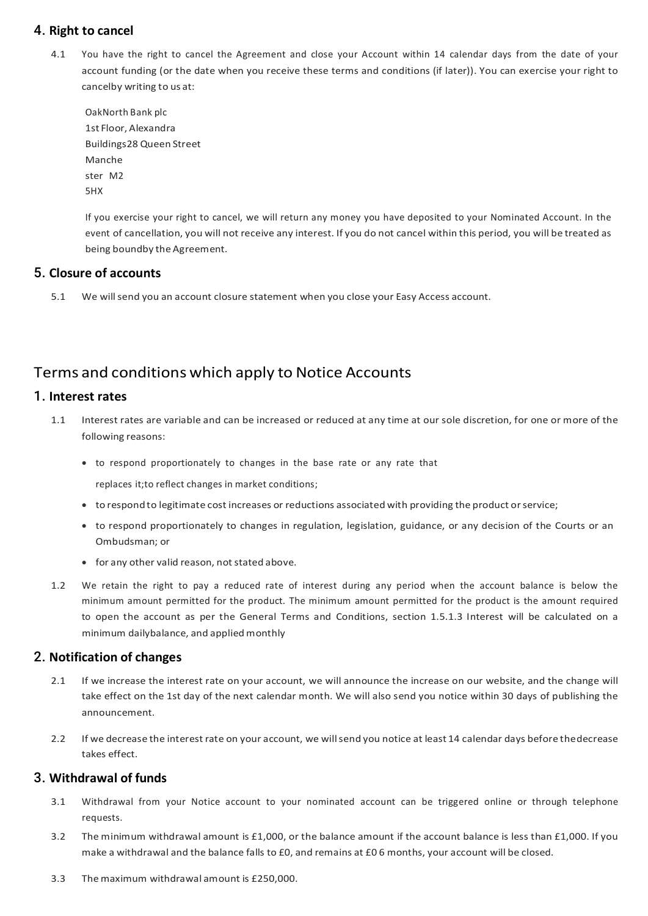### 4. **Right to cancel**

4.1 You have the right to cancel the Agreement and close your Account within 14 calendar days from the date of your account funding (or the date when you receive these terms and conditions (if later)). You can exercise your right to cancelby writing to us at:

OakNorth Bank plc 1st Floor, Alexandra Buildings28 Queen Street Manche ster M2 5HX

If you exercise your right to cancel, we will return any money you have deposited to your Nominated Account. In the event of cancellation, you will not receive any interest. If you do not cancel within this period, you will be treated as being boundby the Agreement.

### 5. **Closure of accounts**

5.1 We willsend you an account closure statement when you close your Easy Access account.

### Terms and conditions which apply to Notice Accounts

### 1. **Interest rates**

- 1.1 Interest rates are variable and can be increased or reduced at any time at our sole discretion, for one or more of the following reasons:
	- to respond proportionately to changes in the base rate or any rate that

replaces it;to reflect changes in market conditions;

- to respondto legitimate cost increases or reductions associated with providing the product orservice;
- to respond proportionately to changes in regulation, legislation, guidance, or any decision of the Courts or an Ombudsman; or
- for any other valid reason, not stated above.
- 1.2 We retain the right to pay a reduced rate of interest during any period when the account balance is below the minimum amount permitted for the product. The minimum amount permitted for the product is the amount required to open the account as per the General Terms and Conditions, section 1.5.1.3 Interest will be calculated on a minimum dailybalance, and applied monthly

### 2. **Notification of changes**

2.1 If we increase the interest rate on your account, we will announce the increase on our website, and the change will

take effect on the 1st day of the next calendar month. We will also send you notice within 30 days of publishing the announcement.

2.2 If we decrease the interest rate on your account, we willsend you notice at least 14 calendar days before thedecrease takes effect.

### 3. **Withdrawal of funds**

- 3.1 Withdrawal from your Notice account to your nominated account can be triggered online or through telephone requests.
- 3.2 The minimum withdrawal amount is £1,000, or the balance amount if the account balance is less than £1,000. If you make a withdrawal and the balance falls to £0, and remains at £0 6 months, your account will be closed.
- 3.3 Themaximum withdrawal amount is £250,000.